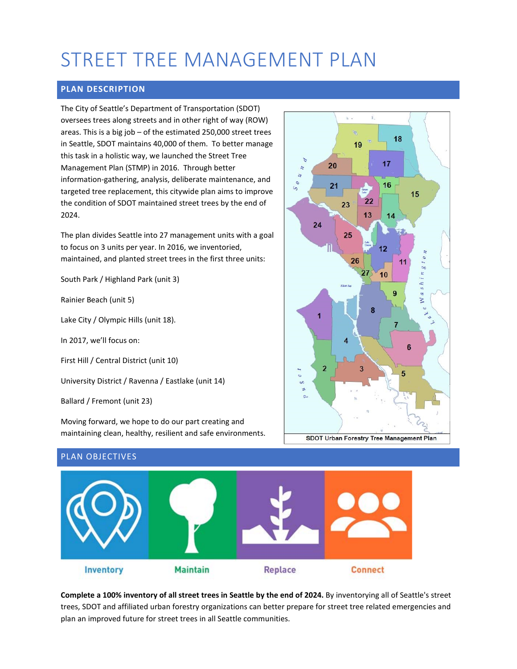# STREET TREE MANAGEMENT PLAN

# **PLAN DESCRIPTION**

The City of Seattle's Department of Transportation (SDOT) oversees trees along streets and in other right of way (ROW) areas. This is a big job – of the estimated 250,000 street trees in Seattle, SDOT maintains 40,000 of them. To better manage this task in a holistic way, we launched the Street Tree Management Plan (STMP) in 2016. Through better information-gathering, analysis, deliberate maintenance, and targeted tree replacement, this citywide plan aims to improve the condition of SDOT maintained street trees by the end of 2024.

The plan divides Seattle into 27 management units with a goal to focus on 3 units per year. In 2016, we inventoried, maintained, and planted street trees in the first three units:

South Park / Highland Park (unit 3)

Rainier Beach (unit 5)

Lake City / Olympic Hills (unit 18).

In 2017, we'll focus on:

First Hill / Central District (unit 10)

University District / Ravenna / Eastlake (unit 14)

Ballard / Fremont (unit 23)

Moving forward, we hope to do our part creating and maintaining clean, healthy, resilient and safe environments.







**Complete a 100% inventory of all street trees in Seattle by the end of 2024.** By inventorying all of Seattle's street trees, SDOT and affiliated urban forestry organizations can better prepare for street tree related emergencies and plan an improved future for street trees in all Seattle communities.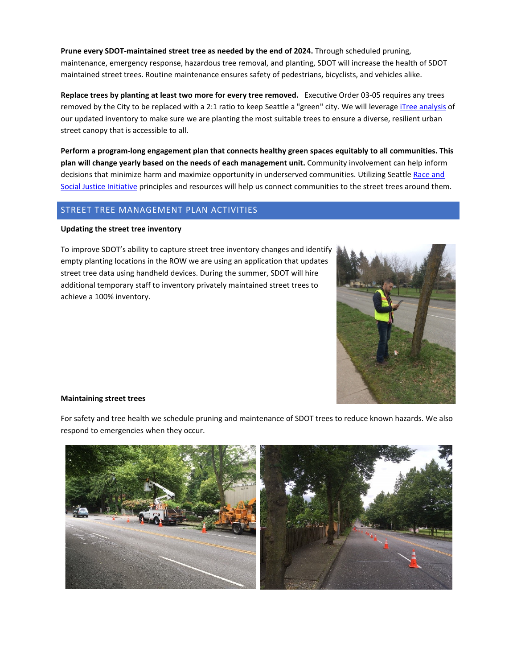**Prune every SDOT-maintained street tree as needed by the end of 2024.** Through scheduled pruning, maintenance, emergency response, hazardous tree removal, and planting, SDOT will increase the health of SDOT maintained street trees. Routine maintenance ensures safety of pedestrians, bicyclists, and vehicles alike.

**Replace trees by planting at least two more for every tree removed.** Executive Order 03-05 requires any trees removed by the City to be replaced with a 2:1 ratio to keep Seattle a "green" city. We will leverage [iTree analysis](https://www.itreetools.org/) of our updated inventory to make sure we are planting the most suitable trees to ensure a diverse, resilient urban street canopy that is accessible to all.

**Perform a program-long engagement plan that connects healthy green spaces equitably to all communities. This plan will change yearly based on the needs of each management unit.** Community involvement can help inform decisions that minimize harm and maximize opportunity in underserved communities. Utilizing Seattle Race and [Social Justice Initiative](https://www.seattle.gov/rsji) principles and resources will help us connect communities to the street trees around them.

## STREET TREE MANAGEMENT PLAN ACTIVITIES

#### **Updating the street tree inventory**

To improve SDOT's ability to capture street tree inventory changes and identify empty planting locations in the ROW we are using an application that updates street tree data using handheld devices. During the summer, SDOT will hire additional temporary staff to inventory privately maintained street trees to achieve a 100% inventory.



#### **Maintaining street trees**

For safety and tree health we schedule pruning and maintenance of SDOT trees to reduce known hazards. We also respond to emergencies when they occur.

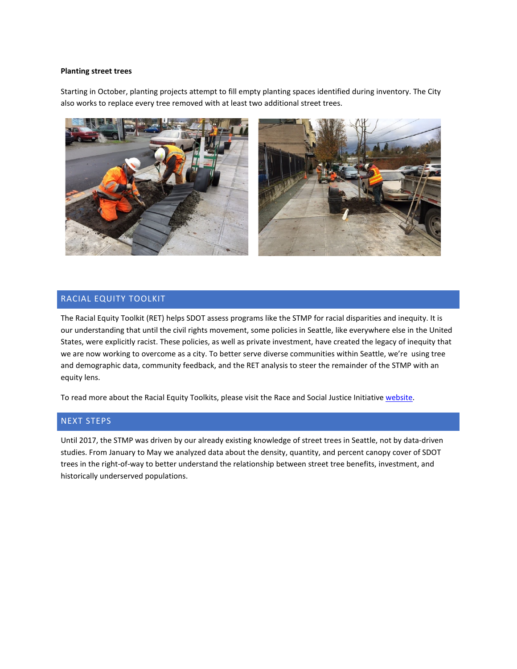#### **Planting street trees**

Starting in October, planting projects attempt to fill empty planting spaces identified during inventory. The City also works to replace every tree removed with at least two additional street trees.



### RACIAL EQUITY TOOLKIT

The Racial Equity Toolkit (RET) helps SDOT assess programs like the STMP for racial disparities and inequity. It is our understanding that until the civil rights movement, some policies in Seattle, like everywhere else in the United States, were explicitly racist. These policies, as well as private investment, have created the legacy of inequity that we are now working to overcome as a city. To better serve diverse communities within Seattle, we're using tree and demographic data, community feedback, and the RET analysis to steer the remainder of the STMP with an equity lens.

To read more about the Racial Equity Toolkits, please visit the Race and Social Justice Initiative [website.](https://www.seattle.gov/rsji/resources)

#### NEXT STEPS

Until 2017, the STMP was driven by our already existing knowledge of street trees in Seattle, not by data-driven studies. From January to May we analyzed data about the density, quantity, and percent canopy cover of SDOT trees in the right-of-way to better understand the relationship between street tree benefits, investment, and historically underserved populations.